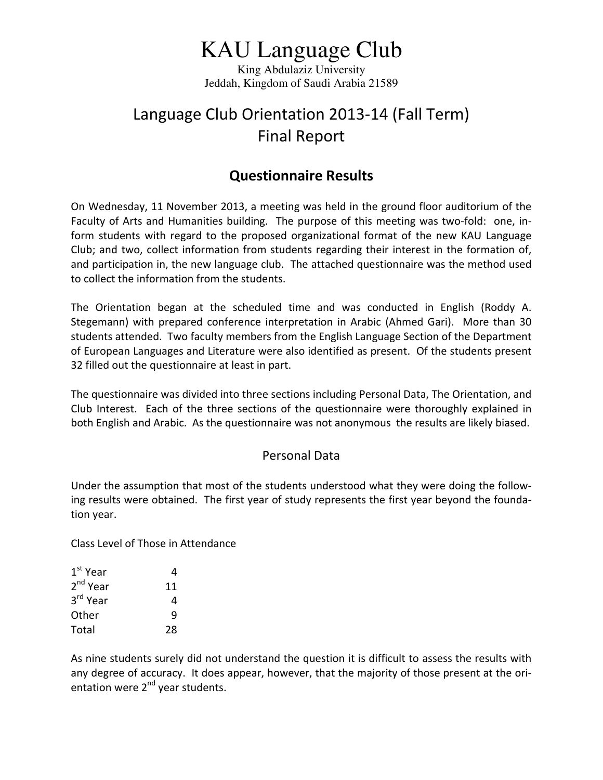# KAU Language Club

King Abdulaziz University Jeddah, Kingdom of Saudi Arabia 21589

## Language Club Orientation 2013‐14 (Fall Term) Final Report

## **Questionnaire Results**

On Wednesday, 11 November 2013, a meeting was held in the ground floor auditorium of the Faculty of Arts and Humanities building. The purpose of this meeting was two-fold: one, inform students with regard to the proposed organizational format of the new KAU Language Club; and two, collect information from students regarding their interest in the formation of, and participation in, the new language club. The attached questionnaire was the method used to collect the information from the students.

The Orientation began at the scheduled time and was conducted in English (Roddy A. Stegemann) with prepared conference interpretation in Arabic (Ahmed Gari). More than 30 students attended. Two faculty members from the English Language Section of the Department of European Languages and Literature were also identified as present. Of the students present 32 filled out the questionnaire at least in part.

The questionnaire was divided into three sections including Personal Data, The Orientation, and Club Interest. Each of the three sections of the questionnaire were thoroughly explained in both English and Arabic. As the questionnaire was not anonymous the results are likely biased.

#### Personal Data

Under the assumption that most of the students understood what they were doing the follow‐ ing results were obtained. The first year of study represents the first year beyond the founda‐ tion year.

Class Level of Those in Attendance

| 1 <sup>st</sup> Year | 4  |
|----------------------|----|
| $2nd$ Year           | 11 |
| 3rd Year             | 4  |
| Other                | q  |
| Total                | 28 |

As nine students surely did not understand the question it is difficult to assess the results with any degree of accuracy. It does appear, however, that the majority of those present at the ori‐ entation were 2<sup>nd</sup> year students.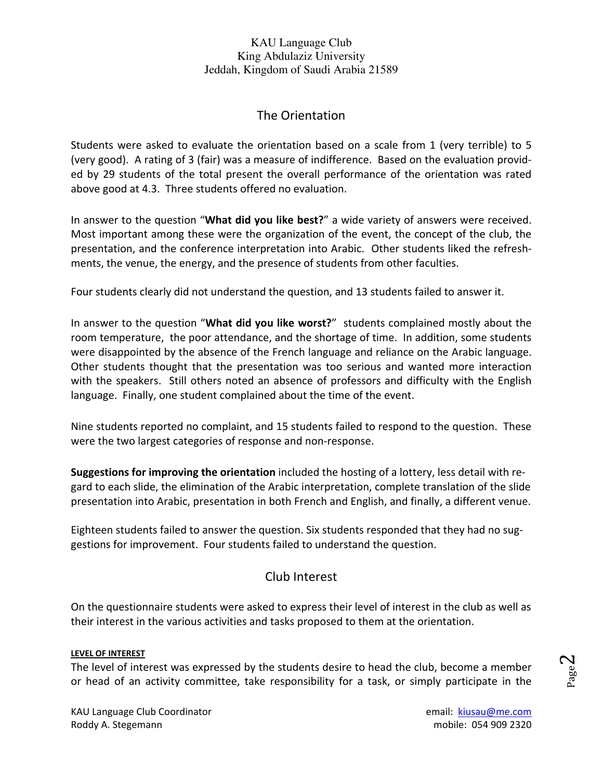#### The Orientation

Students were asked to evaluate the orientation based on a scale from 1 (very terrible) to 5 (very good). A rating of 3 (fair) was a measure of indifference. Based on the evaluation provid‐ ed by 29 students of the total present the overall performance of the orientation was rated above good at 4.3. Three students offered no evaluation.

In answer to the question "**What did you like best?**" a wide variety of answers were received. Most important among these were the organization of the event, the concept of the club, the presentation, and the conference interpretation into Arabic. Other students liked the refresh‐ ments, the venue, the energy, and the presence of students from other faculties.

Four students clearly did not understand the question, and 13 students failed to answer it.

In answer to the question "**What did you like worst?**" students complained mostly about the room temperature, the poor attendance, and the shortage of time. In addition, some students were disappointed by the absence of the French language and reliance on the Arabic language. Other students thought that the presentation was too serious and wanted more interaction with the speakers. Still others noted an absence of professors and difficulty with the English language. Finally, one student complained about the time of the event.

Nine students reported no complaint, and 15 students failed to respond to the question. These were the two largest categories of response and non‐response.

**Suggestions for improving the orientation** included the hosting of a lottery, less detail with re‐ gard to each slide, the elimination of the Arabic interpretation, complete translation of the slide presentation into Arabic, presentation in both French and English, and finally, a different venue.

Eighteen students failed to answer the question. Six students responded that they had no sug‐ gestions for improvement. Four students failed to understand the question.

### Club Interest

On the questionnaire students were asked to express their level of interest in the club as well as their interest in the various activities and tasks proposed to them at the orientation.

#### **LEVEL OF INTEREST**

The level of interest was expressed by the students desire to head the club, become a member or head of an activity committee, take responsibility for a task, or simply participate in the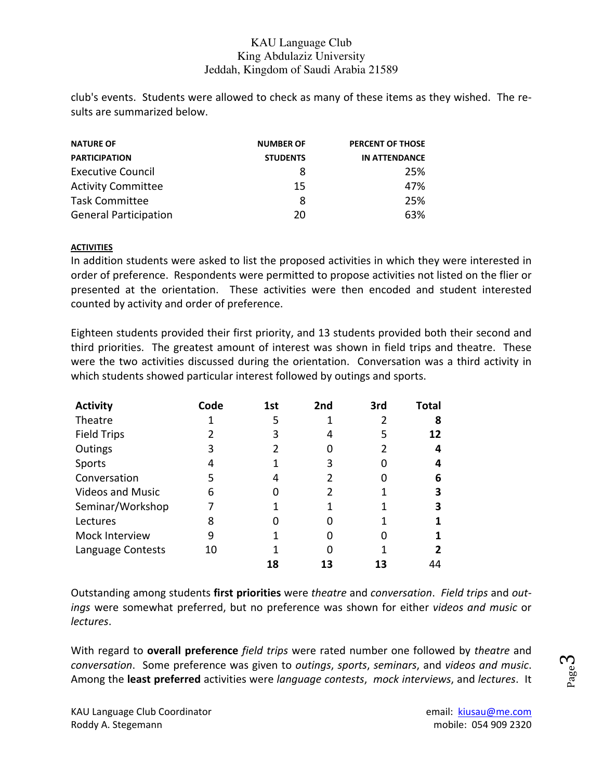club's events. Students were allowed to check as many of these items as they wished. The re‐ sults are summarized below.

| <b>NATURE OF</b>             | <b>NUMBER OF</b> | <b>PERCENT OF THOSE</b> |  |
|------------------------------|------------------|-------------------------|--|
| <b>PARTICIPATION</b>         | <b>STUDENTS</b>  | <b>IN ATTENDANCE</b>    |  |
| <b>Executive Council</b>     | 8                | 25%                     |  |
| <b>Activity Committee</b>    | 15               | 47%                     |  |
| <b>Task Committee</b>        | 8                | 25%                     |  |
| <b>General Participation</b> | 20               | 63%                     |  |

#### **ACTIVITIES**

In addition students were asked to list the proposed activities in which they were interested in order of preference. Respondents were permitted to propose activities not listed on the flier or presented at the orientation. These activities were then encoded and student interested counted by activity and order of preference.

Eighteen students provided their first priority, and 13 students provided both their second and third priorities. The greatest amount of interest was shown in field trips and theatre. These were the two activities discussed during the orientation. Conversation was a third activity in which students showed particular interest followed by outings and sports.

| <b>Activity</b>         | Code | 1st | 2nd | 3rd | Total |
|-------------------------|------|-----|-----|-----|-------|
| Theatre                 |      | 5   |     |     |       |
| <b>Field Trips</b>      |      | 3   |     | 5   | 12    |
| Outings                 | 3    |     |     |     | 4     |
| Sports                  |      |     | ੨   |     | 4     |
| Conversation            | 5    |     |     |     | 6     |
| <b>Videos and Music</b> | 6    |     |     |     |       |
| Seminar/Workshop        |      |     |     |     |       |
| Lectures                | 8    |     |     |     |       |
| Mock Interview          | 9    |     |     |     |       |
| Language Contests       | 10   |     |     |     |       |
|                         |      | 18  | 13  | 13  | 44    |

Outstanding among students **first priorities** were *theatre* and *conversation*. *Field trips* and *out‐ ings* were somewhat preferred, but no preference was shown for either *videos and music* or *lectures*.

With regard to **overall preference** *field trips* were rated number one followed by *theatre* and *conversation*. Some preference was given to *outings*, *sports*, *seminars*, and *videos and music*. Among the **least preferred** activities were *language contests*, *mock interviews*, and *lectures*. It

KAU Language Club Coordinator **Example 2018** and the mail: **kiusau@me.com** Roddy A. Stegemann mobile: 054 909 2320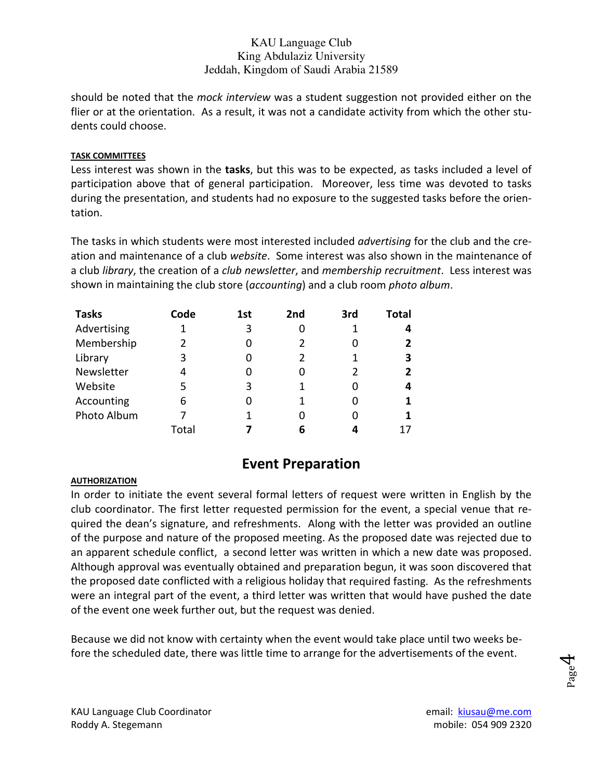should be noted that the *mock interview* was a student suggestion not provided either on the flier or at the orientation. As a result, it was not a candidate activity from which the other students could choose.

#### **TASK COMMITTEES**

Less interest was shown in the **tasks**, but this was to be expected, as tasks included a level of participation above that of general participation. Moreover, less time was devoted to tasks during the presentation, and students had no exposure to the suggested tasks before the orien‐ tation.

The tasks in which students were most interested included *advertising* for the club and the cre‐ ation and maintenance of a club *website*. Some interest was also shown in the maintenance of a club *library*, the creation of a *club newsletter*, and *membership recruitment*. Less interest was shown in maintaining the club store (*accounting*) and a club room *photo album*.

| <b>Tasks</b> | Code  | 1st | 2nd | 3rd | Total |
|--------------|-------|-----|-----|-----|-------|
| Advertising  |       | 3   |     |     |       |
| Membership   | 2     | 0   |     |     |       |
| Library      | 3     | 0   | 2   |     | 3     |
| Newsletter   | 4     | 0   |     |     |       |
| Website      | 5     | 3   |     |     |       |
| Accounting   | 6     | O   |     |     |       |
| Photo Album  |       | 1   |     |     |       |
|              | Total |     | 6   |     |       |

## **Event Preparation**

#### **AUTHORIZATION**

In order to initiate the event several formal letters of request were written in English by the club coordinator. The first letter requested permission for the event, a special venue that re‐ quired the dean's signature, and refreshments. Along with the letter was provided an outline of the purpose and nature of the proposed meeting. As the proposed date was rejected due to an apparent schedule conflict, a second letter was written in which a new date was proposed. Although approval was eventually obtained and preparation begun, it was soon discovered that the proposed date conflicted with a religious holiday that required fasting. As the refreshments were an integral part of the event, a third letter was written that would have pushed the date of the event one week further out, but the request was denied.

Because we did not know with certainty when the event would take place until two weeks be‐ fore the scheduled date, there was little time to arrange for the advertisements of the event.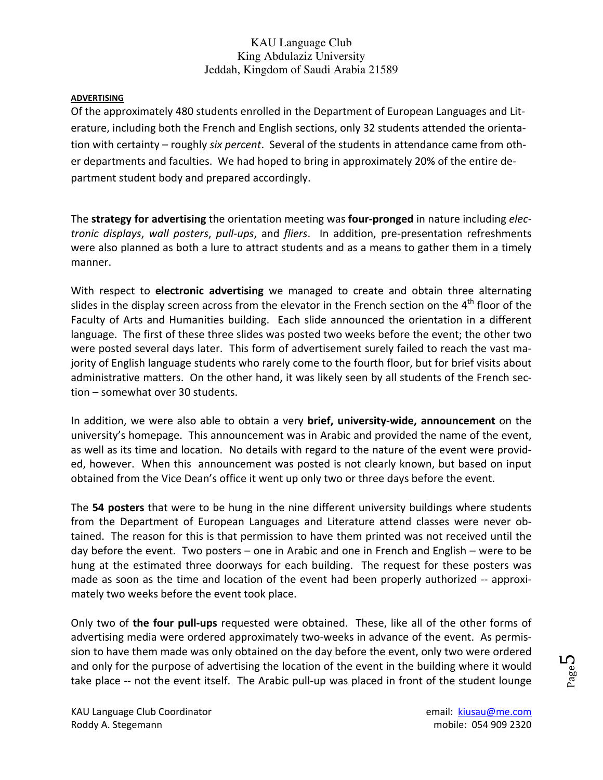#### **ADVERTISING**

Of the approximately 480 students enrolled in the Department of European Languages and Lit‐ erature, including both the French and English sections, only 32 students attended the orienta‐ tion with certainty – roughly *six percent*. Several of the students in attendance came from oth‐ er departments and faculties. We had hoped to bring in approximately 20% of the entire de‐ partment student body and prepared accordingly.

The **strategy for advertising** the orientation meeting was **four‐pronged** in nature including *elec‐ tronic displays*, *wall posters*, *pull‐ups*, and *fliers*. In addition, pre‐presentation refreshments were also planned as both a lure to attract students and as a means to gather them in a timely manner.

With respect to **electronic advertising** we managed to create and obtain three alternating slides in the display screen across from the elevator in the French section on the 4<sup>th</sup> floor of the Faculty of Arts and Humanities building. Each slide announced the orientation in a different language. The first of these three slides was posted two weeks before the event; the other two were posted several days later. This form of advertisement surely failed to reach the vast majority of English language students who rarely come to the fourth floor, but for brief visits about administrative matters. On the other hand, it was likely seen by all students of the French sec‐ tion – somewhat over 30 students.

In addition, we were also able to obtain a very **brief, university‐wide, announcement** on the university's homepage. This announcement was in Arabic and provided the name of the event, as well as its time and location. No details with regard to the nature of the event were provid‐ ed, however. When this announcement was posted is not clearly known, but based on input obtained from the Vice Dean's office it went up only two or three days before the event.

The **54 posters** that were to be hung in the nine different university buildings where students from the Department of European Languages and Literature attend classes were never ob‐ tained. The reason for this is that permission to have them printed was not received until the day before the event. Two posters – one in Arabic and one in French and English – were to be hung at the estimated three doorways for each building. The request for these posters was made as soon as the time and location of the event had been properly authorized -- approximately two weeks before the event took place.

Only two of **the four pull‐ups** requested were obtained. These, like all of the other forms of advertising media were ordered approximately two-weeks in advance of the event. As permission to have them made was only obtained on the day before the event, only two were ordered and only for the purpose of advertising the location of the event in the building where it would take place -- not the event itself. The Arabic pull-up was placed in front of the student lounge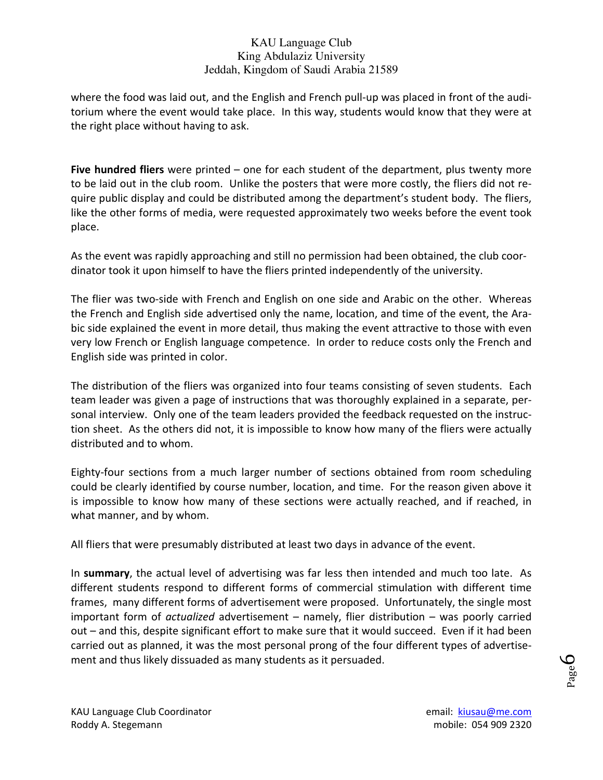where the food was laid out, and the English and French pull-up was placed in front of the auditorium where the event would take place. In this way, students would know that they were at the right place without having to ask.

**Five hundred fliers** were printed – one for each student of the department, plus twenty more to be laid out in the club room. Unlike the posters that were more costly, the fliers did not re‐ quire public display and could be distributed among the department's student body. The fliers, like the other forms of media, were requested approximately two weeks before the event took place.

As the event was rapidly approaching and still no permission had been obtained, the club coor‐ dinator took it upon himself to have the fliers printed independently of the university.

The flier was two-side with French and English on one side and Arabic on the other. Whereas the French and English side advertised only the name, location, and time of the event, the Ara‐ bic side explained the event in more detail, thus making the event attractive to those with even very low French or English language competence. In order to reduce costs only the French and English side was printed in color.

The distribution of the fliers was organized into four teams consisting of seven students. Each team leader was given a page of instructions that was thoroughly explained in a separate, per‐ sonal interview. Only one of the team leaders provided the feedback requested on the instruction sheet. As the others did not, it is impossible to know how many of the fliers were actually distributed and to whom.

Eighty-four sections from a much larger number of sections obtained from room scheduling could be clearly identified by course number, location, and time. For the reason given above it is impossible to know how many of these sections were actually reached, and if reached, in what manner, and by whom.

All fliers that were presumably distributed at least two days in advance of the event.

In **summary**, the actual level of advertising was far less then intended and much too late. As different students respond to different forms of commercial stimulation with different time frames, many different forms of advertisement were proposed. Unfortunately, the single most important form of *actualized* advertisement – namely, flier distribution – was poorly carried out – and this, despite significant effort to make sure that it would succeed. Even if it had been carried out as planned, it was the most personal prong of the four different types of advertise‐ ment and thus likely dissuaded as many students as it persuaded.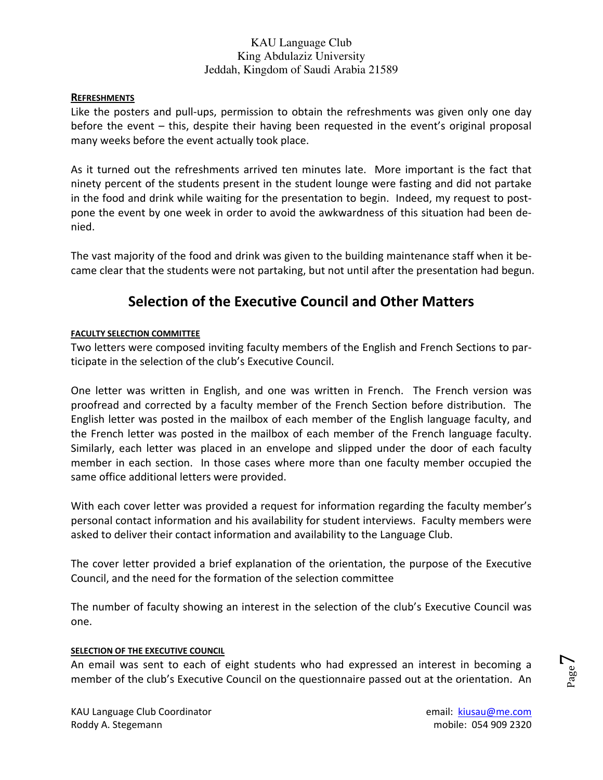#### **REFRESHMENTS**

Like the posters and pull-ups, permission to obtain the refreshments was given only one day before the event – this, despite their having been requested in the event's original proposal many weeks before the event actually took place.

As it turned out the refreshments arrived ten minutes late. More important is the fact that ninety percent of the students present in the student lounge were fasting and did not partake in the food and drink while waiting for the presentation to begin. Indeed, my request to postpone the event by one week in order to avoid the awkwardness of this situation had been de‐ nied.

The vast majority of the food and drink was given to the building maintenance staff when it be‐ came clear that the students were not partaking, but not until after the presentation had begun.

## **Selection of the Executive Council and Other Matters**

#### **FACULTY SELECTION COMMITTEE**

Two letters were composed inviting faculty members of the English and French Sections to par‐ ticipate in the selection of the club's Executive Council.

One letter was written in English, and one was written in French. The French version was proofread and corrected by a faculty member of the French Section before distribution. The English letter was posted in the mailbox of each member of the English language faculty, and the French letter was posted in the mailbox of each member of the French language faculty. Similarly, each letter was placed in an envelope and slipped under the door of each faculty member in each section. In those cases where more than one faculty member occupied the same office additional letters were provided.

With each cover letter was provided a request for information regarding the faculty member's personal contact information and his availability for student interviews. Faculty members were asked to deliver their contact information and availability to the Language Club.

The cover letter provided a brief explanation of the orientation, the purpose of the Executive Council, and the need for the formation of the selection committee

The number of faculty showing an interest in the selection of the club's Executive Council was one.

#### **SELECTION OF THE EXECUTIVE COUNCIL**

An email was sent to each of eight students who had expressed an interest in becoming a member of the club's Executive Council on the questionnaire passed out at the orientation. An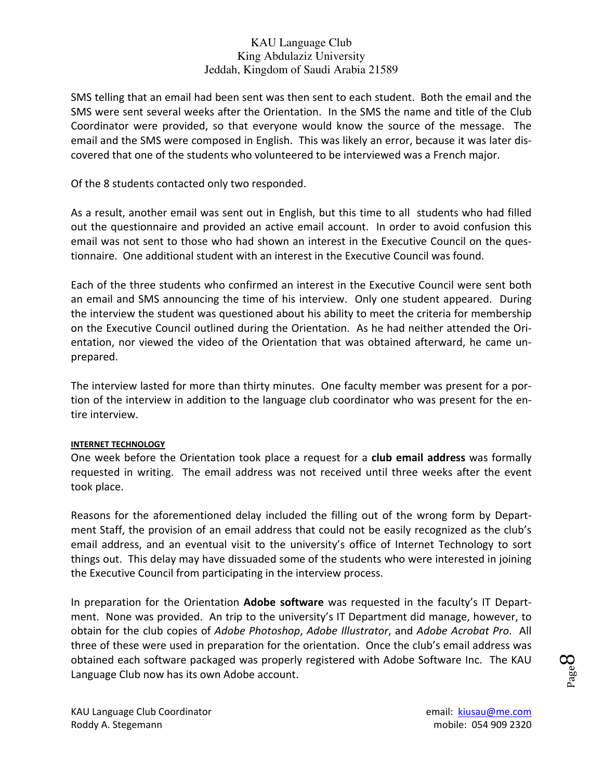SMS telling that an email had been sent was then sent to each student. Both the email and the SMS were sent several weeks after the Orientation. In the SMS the name and title of the Club Coordinator were provided, so that everyone would know the source of the message. The email and the SMS were composed in English. This was likely an error, because it was later dis‐ covered that one of the students who volunteered to be interviewed was a French major.

Of the 8 students contacted only two responded.

As a result, another email was sent out in English, but this time to all students who had filled out the questionnaire and provided an active email account. In order to avoid confusion this email was not sent to those who had shown an interest in the Executive Council on the ques‐ tionnaire. One additional student with an interest in the Executive Council was found.

Each of the three students who confirmed an interest in the Executive Council were sent both an email and SMS announcing the time of his interview. Only one student appeared. During the interview the student was questioned about his ability to meet the criteria for membership on the Executive Council outlined during the Orientation. As he had neither attended the Ori‐ entation, nor viewed the video of the Orientation that was obtained afterward, he came un‐ prepared.

The interview lasted for more than thirty minutes. One faculty member was present for a por‐ tion of the interview in addition to the language club coordinator who was present for the en‐ tire interview.

#### **INTERNET TECHNOLOGY**

One week before the Orientation took place a request for a **club email address** was formally requested in writing. The email address was not received until three weeks after the event took place.

Reasons for the aforementioned delay included the filling out of the wrong form by Depart‐ ment Staff, the provision of an email address that could not be easily recognized as the club's email address, and an eventual visit to the university's office of Internet Technology to sort things out. This delay may have dissuaded some of the students who were interested in joining the Executive Council from participating in the interview process.

In preparation for the Orientation **Adobe software** was requested in the faculty's IT Depart‐ ment. None was provided. An trip to the university's IT Department did manage, however, to obtain for the club copies of *Adobe Photoshop*, *Adobe Illustrator*, and *Adobe Acrobat Pro*. All three of these were used in preparation for the orientation. Once the club's email address was obtained each software packaged was properly registered with Adobe Software Inc. The KAU Language Club now has its own Adobe account.

Page **8**